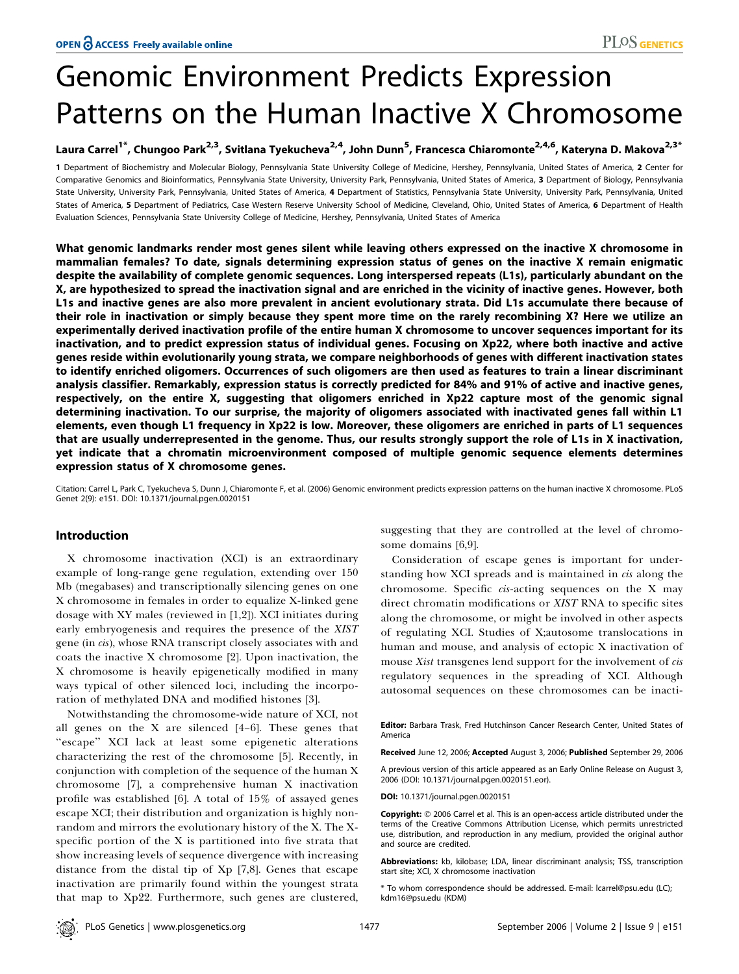# Genomic Environment Predicts Expression Patterns on the Human Inactive X Chromosome

# Laura Carrel<sup>1\*</sup>, Chungoo Park<sup>2,3</sup>, Svitlana Tyekucheva<sup>2,4</sup>, John Dunn<sup>5</sup>, Francesca Chiaromonte<sup>2,4,6</sup>, Kateryna D. Makova<sup>2,3\*</sup>

1 Department of Biochemistry and Molecular Biology, Pennsylvania State University College of Medicine, Hershey, Pennsylvania, United States of America, 2 Center for Comparative Genomics and Bioinformatics, Pennsylvania State University, University Park, Pennsylvania, United States of America, 3 Department of Biology, Pennsylvania State University, University Park, Pennsylvania, United States of America, 4 Department of Statistics, Pennsylvania State University, University Park, Pennsylvania, United States of America, 5 Department of Pediatrics, Case Western Reserve University School of Medicine, Cleveland, Ohio, United States of America, 6 Department of Health Evaluation Sciences, Pennsylvania State University College of Medicine, Hershey, Pennsylvania, United States of America

What genomic landmarks render most genes silent while leaving others expressed on the inactive X chromosome in mammalian females? To date, signals determining expression status of genes on the inactive X remain enigmatic despite the availability of complete genomic sequences. Long interspersed repeats (L1s), particularly abundant on the X, are hypothesized to spread the inactivation signal and are enriched in the vicinity of inactive genes. However, both L1s and inactive genes are also more prevalent in ancient evolutionary strata. Did L1s accumulate there because of their role in inactivation or simply because they spent more time on the rarely recombining X? Here we utilize an experimentally derived inactivation profile of the entire human X chromosome to uncover sequences important for its inactivation, and to predict expression status of individual genes. Focusing on Xp22, where both inactive and active genes reside within evolutionarily young strata, we compare neighborhoods of genes with different inactivation states to identify enriched oligomers. Occurrences of such oligomers are then used as features to train a linear discriminant analysis classifier. Remarkably, expression status is correctly predicted for 84% and 91% of active and inactive genes, respectively, on the entire X, suggesting that oligomers enriched in Xp22 capture most of the genomic signal determining inactivation. To our surprise, the majority of oligomers associated with inactivated genes fall within L1 elements, even though L1 frequency in Xp22 is low. Moreover, these oligomers are enriched in parts of L1 sequences that are usually underrepresented in the genome. Thus, our results strongly support the role of L1s in X inactivation, yet indicate that a chromatin microenvironment composed of multiple genomic sequence elements determines expression status of X chromosome genes.

Citation: Carrel L, Park C, Tyekucheva S, Dunn J, Chiaromonte F, et al. (2006) Genomic environment predicts expression patterns on the human inactive X chromosome. PLoS Genet 2(9): e151. DOI: 10.1371/journal.pgen.0020151

# Introduction

X chromosome inactivation (XCI) is an extraordinary example of long-range gene regulation, extending over 150 Mb (megabases) and transcriptionally silencing genes on one X chromosome in females in order to equalize X-linked gene dosage with XY males (reviewed in [1,2]). XCI initiates during early embryogenesis and requires the presence of the XIST gene (in cis), whose RNA transcript closely associates with and coats the inactive X chromosome [2]. Upon inactivation, the X chromosome is heavily epigenetically modified in many ways typical of other silenced loci, including the incorporation of methylated DNA and modified histones [3].

Notwithstanding the chromosome-wide nature of XCI, not all genes on the X are silenced [4–6]. These genes that "escape" XCI lack at least some epigenetic alterations characterizing the rest of the chromosome [5]. Recently, in conjunction with completion of the sequence of the human X chromosome [7], a comprehensive human X inactivation profile was established [6]. A total of 15% of assayed genes escape XCI; their distribution and organization is highly nonrandom and mirrors the evolutionary history of the X. The Xspecific portion of the X is partitioned into five strata that show increasing levels of sequence divergence with increasing distance from the distal tip of Xp [7,8]. Genes that escape inactivation are primarily found within the youngest strata that map to Xp22. Furthermore, such genes are clustered,

suggesting that they are controlled at the level of chromosome domains [6,9].

Consideration of escape genes is important for understanding how XCI spreads and is maintained in *cis* along the chromosome. Specific cis-acting sequences on the X may direct chromatin modifications or XIST RNA to specific sites along the chromosome, or might be involved in other aspects of regulating XCI. Studies of X;autosome translocations in human and mouse, and analysis of ectopic X inactivation of mouse Xist transgenes lend support for the involvement of cis regulatory sequences in the spreading of XCI. Although autosomal sequences on these chromosomes can be inacti-

Editor: Barbara Trask, Fred Hutchinson Cancer Research Center, United States of America

Received June 12, 2006; Accepted August 3, 2006; Published September 29, 2006

A previous version of this article appeared as an Early Online Release on August 3, 2006 (DOI: 10.1371/journal.pgen.0020151.eor).

DOI: 10.1371/journal.pgen.0020151

Copyright:  $@$  2006 Carrel et al. This is an open-access article distributed under the terms of the Creative Commons Attribution License, which permits unrestricted use, distribution, and reproduction in any medium, provided the original author and source are credited.

Abbreviations: kb, kilobase; LDA, linear discriminant analysis; TSS, transcription start site; XCI, X chromosome inactivation

\* To whom correspondence should be addressed. E-mail: lcarrel@psu.edu (LC); kdm16@psu.edu (KDM)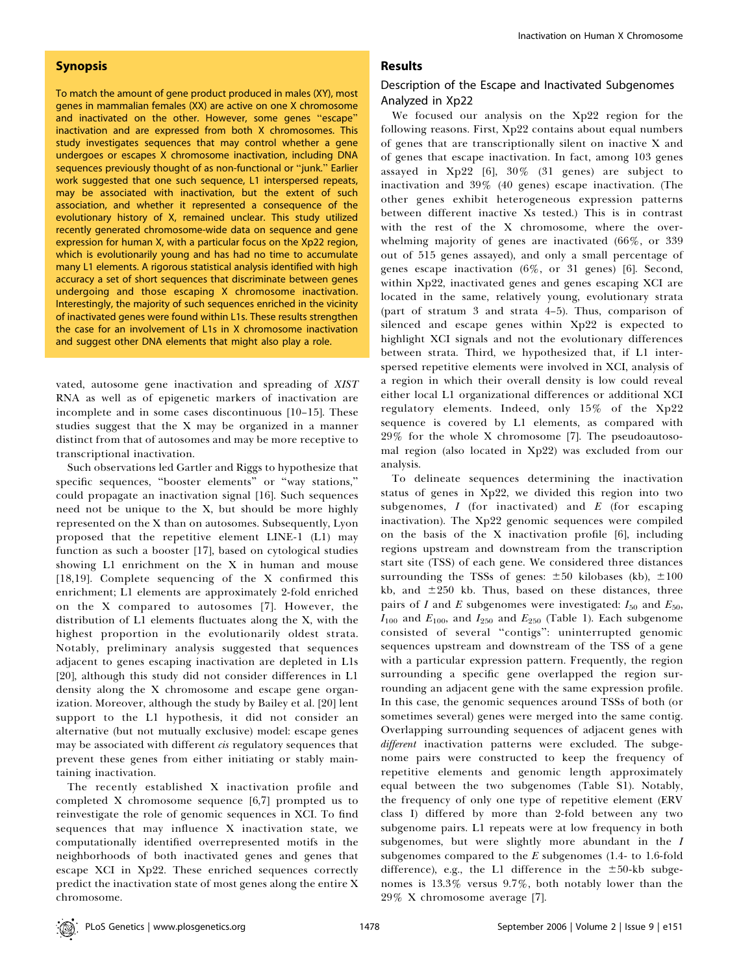## Synopsis

To match the amount of gene product produced in males (XY), most genes in mammalian females (XX) are active on one X chromosome and inactivated on the other. However, some genes ''escape'' inactivation and are expressed from both X chromosomes. This study investigates sequences that may control whether a gene undergoes or escapes X chromosome inactivation, including DNA sequences previously thought of as non-functional or ''junk.'' Earlier work suggested that one such sequence, L1 interspersed repeats, may be associated with inactivation, but the extent of such association, and whether it represented a consequence of the evolutionary history of X, remained unclear. This study utilized recently generated chromosome-wide data on sequence and gene expression for human X, with a particular focus on the Xp22 region, which is evolutionarily young and has had no time to accumulate many L1 elements. A rigorous statistical analysis identified with high accuracy a set of short sequences that discriminate between genes undergoing and those escaping X chromosome inactivation. Interestingly, the majority of such sequences enriched in the vicinity of inactivated genes were found within L1s. These results strengthen the case for an involvement of L1s in X chromosome inactivation and suggest other DNA elements that might also play a role.

vated, autosome gene inactivation and spreading of XIST RNA as well as of epigenetic markers of inactivation are incomplete and in some cases discontinuous [10–15]. These studies suggest that the X may be organized in a manner distinct from that of autosomes and may be more receptive to transcriptional inactivation.

Such observations led Gartler and Riggs to hypothesize that specific sequences, ''booster elements'' or ''way stations,'' could propagate an inactivation signal [16]. Such sequences need not be unique to the X, but should be more highly represented on the X than on autosomes. Subsequently, Lyon proposed that the repetitive element LINE-1 (L1) may function as such a booster [17], based on cytological studies showing L1 enrichment on the X in human and mouse [18,19]. Complete sequencing of the X confirmed this enrichment; L1 elements are approximately 2-fold enriched on the X compared to autosomes [7]. However, the distribution of L1 elements fluctuates along the X, with the highest proportion in the evolutionarily oldest strata. Notably, preliminary analysis suggested that sequences adjacent to genes escaping inactivation are depleted in L1s [20], although this study did not consider differences in L1 density along the X chromosome and escape gene organization. Moreover, although the study by Bailey et al. [20] lent support to the L1 hypothesis, it did not consider an alternative (but not mutually exclusive) model: escape genes may be associated with different *cis* regulatory sequences that prevent these genes from either initiating or stably maintaining inactivation.

The recently established X inactivation profile and completed X chromosome sequence [6,7] prompted us to reinvestigate the role of genomic sequences in XCI. To find sequences that may influence X inactivation state, we computationally identified overrepresented motifs in the neighborhoods of both inactivated genes and genes that escape XCI in Xp22. These enriched sequences correctly predict the inactivation state of most genes along the entire X chromosome.

### Results

# Description of the Escape and Inactivated Subgenomes Analyzed in Xp22

We focused our analysis on the Xp22 region for the following reasons. First, Xp22 contains about equal numbers of genes that are transcriptionally silent on inactive X and of genes that escape inactivation. In fact, among 103 genes assayed in  $Xp22$  [6],  $30\%$  (31 genes) are subject to inactivation and 39% (40 genes) escape inactivation. (The other genes exhibit heterogeneous expression patterns between different inactive Xs tested.) This is in contrast with the rest of the X chromosome, where the overwhelming majority of genes are inactivated (66%, or 339 out of 515 genes assayed), and only a small percentage of genes escape inactivation (6%, or 31 genes) [6]. Second, within Xp22, inactivated genes and genes escaping XCI are located in the same, relatively young, evolutionary strata (part of stratum 3 and strata 4–5). Thus, comparison of silenced and escape genes within Xp22 is expected to highlight XCI signals and not the evolutionary differences between strata. Third, we hypothesized that, if L1 interspersed repetitive elements were involved in XCI, analysis of a region in which their overall density is low could reveal either local L1 organizational differences or additional XCI regulatory elements. Indeed, only 15% of the Xp22 sequence is covered by L1 elements, as compared with 29% for the whole X chromosome [7]. The pseudoautosomal region (also located in Xp22) was excluded from our analysis.

To delineate sequences determining the inactivation status of genes in Xp22, we divided this region into two subgenomes,  $I$  (for inactivated) and  $E$  (for escaping inactivation). The Xp22 genomic sequences were compiled on the basis of the X inactivation profile [6], including regions upstream and downstream from the transcription start site (TSS) of each gene. We considered three distances surrounding the TSSs of genes:  $\pm 50$  kilobases (kb),  $\pm 100$ kb, and  $\pm 250$  kb. Thus, based on these distances, three pairs of I and E subgenomes were investigated:  $I_{50}$  and  $E_{50}$ ,  $I_{100}$  and  $E_{100}$ , and  $I_{250}$  and  $E_{250}$  (Table 1). Each subgenome consisted of several ''contigs'': uninterrupted genomic sequences upstream and downstream of the TSS of a gene with a particular expression pattern. Frequently, the region surrounding a specific gene overlapped the region surrounding an adjacent gene with the same expression profile. In this case, the genomic sequences around TSSs of both (or sometimes several) genes were merged into the same contig. Overlapping surrounding sequences of adjacent genes with different inactivation patterns were excluded. The subgenome pairs were constructed to keep the frequency of repetitive elements and genomic length approximately equal between the two subgenomes (Table S1). Notably, the frequency of only one type of repetitive element (ERV class I) differed by more than 2-fold between any two subgenome pairs. L1 repeats were at low frequency in both subgenomes, but were slightly more abundant in the  $I$ subgenomes compared to the  $E$  subgenomes (1.4- to 1.6-fold difference), e.g., the L1 difference in the  $\pm 50$ -kb subgenomes is 13.3% versus 9.7%, both notably lower than the 29% X chromosome average [7].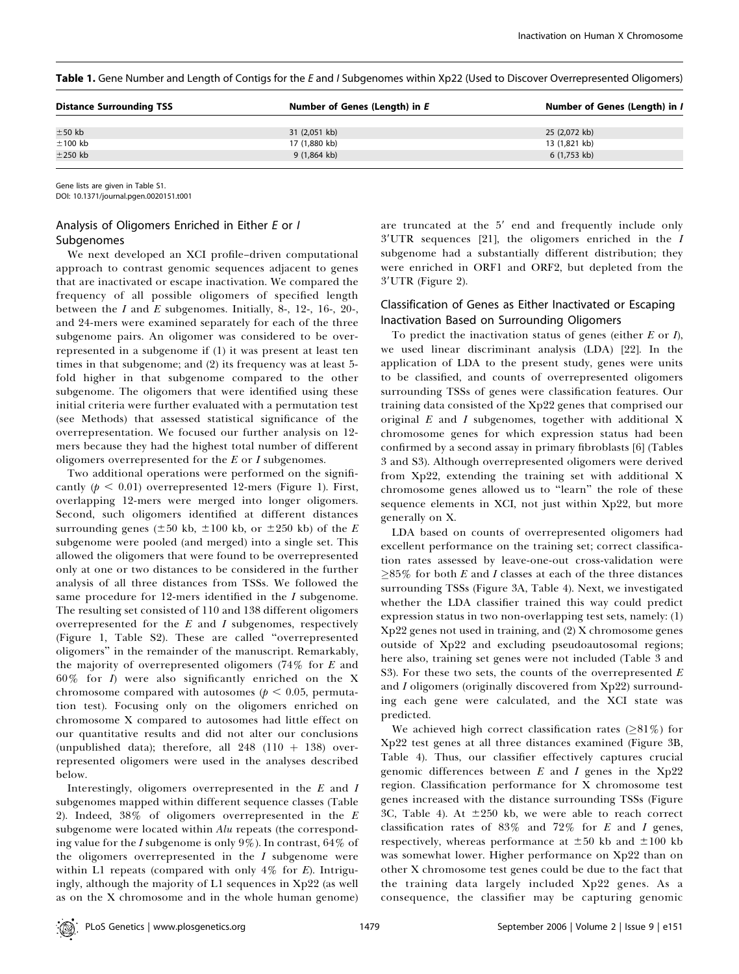Table 1. Gene Number and Length of Contigs for the E and I Subgenomes within Xp22 (Used to Discover Overrepresented Oligomers)

| <b>Distance Surrounding TSS</b> | Number of Genes (Length) in E | Number of Genes (Length) in I |
|---------------------------------|-------------------------------|-------------------------------|
|                                 |                               |                               |
| $±50$ kb                        | 31 (2,051 kb)                 | 25 (2,072 kb)                 |
| $±100$ kb                       | 17 (1,880 kb)                 | 13 (1,821 kb)                 |
| $\pm$ 250 kb                    | $9(1,864$ kb)                 | 6 (1,753 kb)                  |
|                                 |                               |                               |

Gene lists are given in Table S1.

DOI: 10.1371/journal.pgen.0020151.t001

# Analysis of Oligomers Enriched in Either E or I Subgenomes

We next developed an XCI profile–driven computational approach to contrast genomic sequences adjacent to genes that are inactivated or escape inactivation. We compared the frequency of all possible oligomers of specified length between the  $I$  and  $E$  subgenomes. Initially, 8-, 12-, 16-, 20-, and 24-mers were examined separately for each of the three subgenome pairs. An oligomer was considered to be overrepresented in a subgenome if (1) it was present at least ten times in that subgenome; and (2) its frequency was at least 5 fold higher in that subgenome compared to the other subgenome. The oligomers that were identified using these initial criteria were further evaluated with a permutation test (see Methods) that assessed statistical significance of the overrepresentation. We focused our further analysis on 12 mers because they had the highest total number of different oligomers overrepresented for the  $E$  or  $I$  subgenomes.

Two additional operations were performed on the significantly ( $p < 0.01$ ) overrepresented 12-mers (Figure 1). First, overlapping 12-mers were merged into longer oligomers. Second, such oligomers identified at different distances surrounding genes ( $\pm 50$  kb,  $\pm 100$  kb, or  $\pm 250$  kb) of the E subgenome were pooled (and merged) into a single set. This allowed the oligomers that were found to be overrepresented only at one or two distances to be considered in the further analysis of all three distances from TSSs. We followed the same procedure for  $12$ -mers identified in the  $I$  subgenome. The resulting set consisted of 110 and 138 different oligomers overrepresented for the  $E$  and  $I$  subgenomes, respectively (Figure 1, Table S2). These are called ''overrepresented oligomers'' in the remainder of the manuscript. Remarkably, the majority of overrepresented oligomers (74% for E and  $60\%$  for *I*) were also significantly enriched on the X chromosome compared with autosomes ( $p < 0.05$ , permutation test). Focusing only on the oligomers enriched on chromosome X compared to autosomes had little effect on our quantitative results and did not alter our conclusions (unpublished data); therefore, all  $248$  (110 + 138) overrepresented oligomers were used in the analyses described below.

Interestingly, oligomers overrepresented in the E and I subgenomes mapped within different sequence classes (Table 2). Indeed,  $38\%$  of oligomers overrepresented in the  $E$ subgenome were located within Alu repeats (the corresponding value for the I subgenome is only  $9\%$ ). In contrast,  $64\%$  of the oligomers overrepresented in the  $I$  subgenome were within L1 repeats (compared with only  $4\%$  for E). Intriguingly, although the majority of L1 sequences in Xp22 (as well as on the X chromosome and in the whole human genome) are truncated at the  $5'$  end and frequently include only  $3'UTR$  sequences [21], the oligomers enriched in the  $I$ subgenome had a substantially different distribution; they were enriched in ORF1 and ORF2, but depleted from the  $3'UTR$  (Figure 2).

# Classification of Genes as Either Inactivated or Escaping Inactivation Based on Surrounding Oligomers

To predict the inactivation status of genes (either  $E$  or  $I$ ), we used linear discriminant analysis (LDA) [22]. In the application of LDA to the present study, genes were units to be classified, and counts of overrepresented oligomers surrounding TSSs of genes were classification features. Our training data consisted of the Xp22 genes that comprised our original  $E$  and  $I$  subgenomes, together with additional  $X$ chromosome genes for which expression status had been confirmed by a second assay in primary fibroblasts [6] (Tables 3 and S3). Although overrepresented oligomers were derived from Xp22, extending the training set with additional X chromosome genes allowed us to ''learn'' the role of these sequence elements in XCI, not just within Xp22, but more generally on X.

LDA based on counts of overrepresented oligomers had excellent performance on the training set; correct classification rates assessed by leave-one-out cross-validation were  $\geq$ 85% for both E and I classes at each of the three distances surrounding TSSs (Figure 3A, Table 4). Next, we investigated whether the LDA classifier trained this way could predict expression status in two non-overlapping test sets, namely: (1) Xp22 genes not used in training, and (2) X chromosome genes outside of Xp22 and excluding pseudoautosomal regions; here also, training set genes were not included (Table 3 and S3). For these two sets, the counts of the overrepresented  $E$ and I oligomers (originally discovered from Xp22) surrounding each gene were calculated, and the XCI state was predicted.

We achieved high correct classification rates  $(281\%)$  for Xp22 test genes at all three distances examined (Figure 3B, Table 4). Thus, our classifier effectively captures crucial genomic differences between  $E$  and  $I$  genes in the Xp22 region. Classification performance for X chromosome test genes increased with the distance surrounding TSSs (Figure 3C, Table 4). At  $\pm 250$  kb, we were able to reach correct classification rates of  $83\%$  and  $72\%$  for E and I genes, respectively, whereas performance at  $\pm 50$  kb and  $\pm 100$  kb was somewhat lower. Higher performance on Xp22 than on other X chromosome test genes could be due to the fact that the training data largely included Xp22 genes. As a consequence, the classifier may be capturing genomic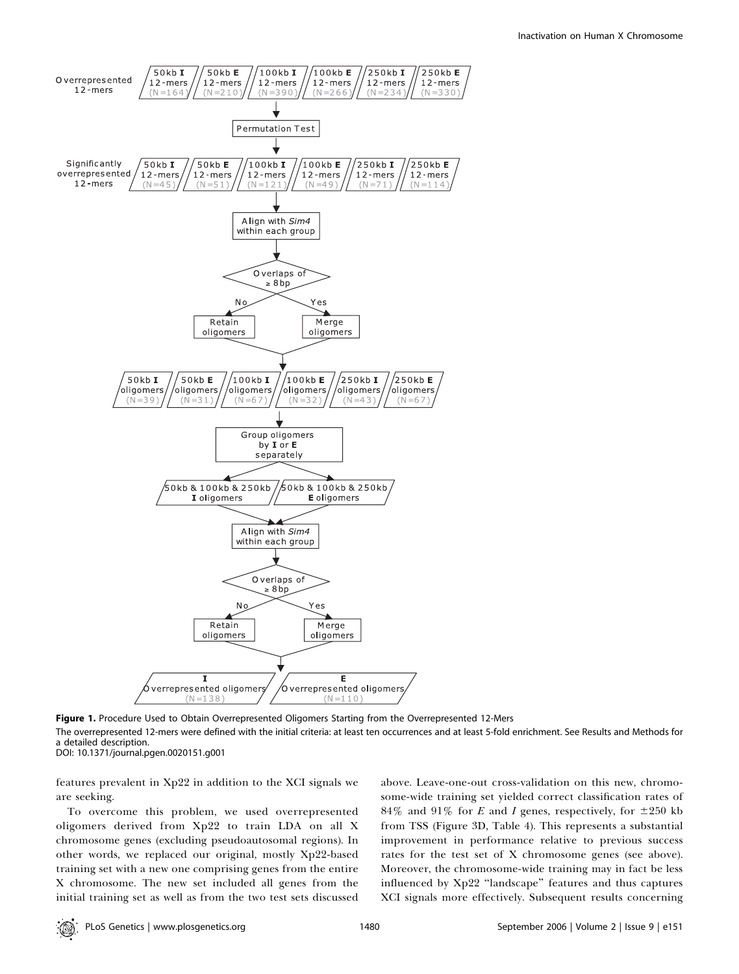

Figure 1. Procedure Used to Obtain Overrepresented Oligomers Starting from the Overrepresented 12-Mers The overrepresented 12-mers were defined with the initial criteria: at least ten occurrences and at least 5-fold enrichment. See Results and Methods for a detailed description. DOI: 10.1371/journal.pgen.0020151.g001

features prevalent in Xp22 in addition to the XCI signals we are seeking.

To overcome this problem, we used overrepresented oligomers derived from Xp22 to train LDA on all X chromosome genes (excluding pseudoautosomal regions). In other words, we replaced our original, mostly Xp22-based training set with a new one comprising genes from the entire X chromosome. The new set included all genes from the initial training set as well as from the two test sets discussed above. Leave-one-out cross-validation on this new, chromosome-wide training set yielded correct classification rates of 84% and 91% for E and I genes, respectively, for  $\pm 250$  kb from TSS (Figure 3D, Table 4). This represents a substantial improvement in performance relative to previous success rates for the test set of X chromosome genes (see above). Moreover, the chromosome-wide training may in fact be less influenced by Xp22 ''landscape'' features and thus captures XCI signals more effectively. Subsequent results concerning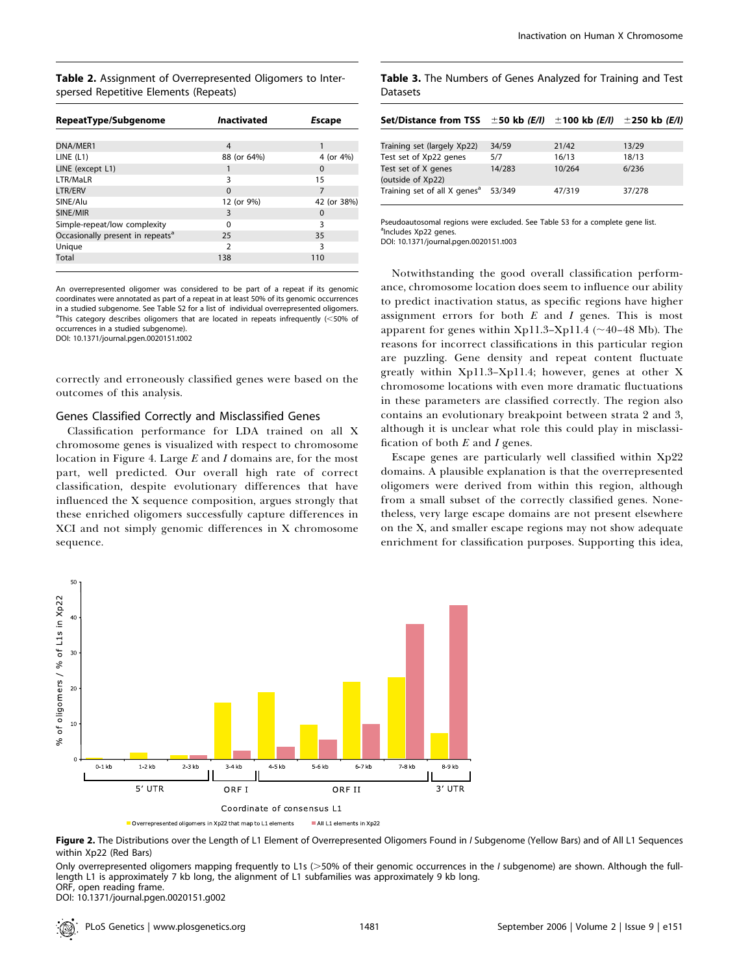Table 2. Assignment of Overrepresented Oligomers to Interspersed Repetitive Elements (Repeats)

| RepeatType/Subgenome                         | <b>Inactivated</b> | Escape      |
|----------------------------------------------|--------------------|-------------|
|                                              |                    |             |
| DNA/MER1                                     | 4                  |             |
| LINE (L1)                                    | 88 (or 64%)        | 4 (or 4%)   |
| LINE (except L1)                             |                    | $\Omega$    |
| LTR/MaLR                                     | ξ                  | 15          |
| LTR/ERV                                      | $\Omega$           | 7           |
| SINE/Alu                                     | 12 (or 9%)         | 42 (or 38%) |
| SINE/MIR                                     | 3                  | $\Omega$    |
| Simple-repeat/low complexity                 | O                  | 3           |
| Occasionally present in repeats <sup>a</sup> | 25                 | 35          |
| Unique                                       | $\mathcal{P}$      | 3           |
| Total                                        | 138                | 110         |
|                                              |                    |             |

An overrepresented oligomer was considered to be part of a repeat if its genomic coordinates were annotated as part of a repeat in at least 50% of its genomic occurrences in a studied subgenome. See Table S2 for a list of individual overrepresented oligomers.  $^{\text{a}}$ This category describes oligomers that are located in repeats infrequently (<50% of occurrences in a studied subgenome). DOI: 10.1371/journal.pgen.0020151.t002

correctly and erroneously classified genes were based on the outcomes of this analysis.

#### Genes Classified Correctly and Misclassified Genes

Classification performance for LDA trained on all X chromosome genes is visualized with respect to chromosome location in Figure 4. Large  $E$  and  $I$  domains are, for the most part, well predicted. Our overall high rate of correct classification, despite evolutionary differences that have influenced the X sequence composition, argues strongly that these enriched oligomers successfully capture differences in XCI and not simply genomic differences in X chromosome sequence.

| Datasets                                 |        |                      |                  |  |  |  |  |
|------------------------------------------|--------|----------------------|------------------|--|--|--|--|
| Set/Distance from TSS $\pm$ 50 kb (E/I)  |        | ±100 kb <i>(E/I)</i> | $±$ 250 kb (E/I) |  |  |  |  |
| Training set (largely Xp22)              | 34/59  | 21/42                | 13/29            |  |  |  |  |
| Test set of Xp22 genes                   | 5/7    | 16/13                | 18/13            |  |  |  |  |
| Test set of X genes<br>(outside of Xp22) | 14/283 | 10/264               | 6/236            |  |  |  |  |
| Training set of all X genes <sup>a</sup> | 53/349 | 47/319               | 37/278           |  |  |  |  |

Table 3. The Numbers of Genes Analyzed for Training and Test

Pseudoautosomal regions were excluded. See Table S3 for a complete gene list. <sup>a</sup>Includes Xp22 genes. DOI: 10.1371/journal.pgen.0020151.t003

Notwithstanding the good overall classification performance, chromosome location does seem to influence our ability to predict inactivation status, as specific regions have higher assignment errors for both  $E$  and  $I$  genes. This is most apparent for genes within Xp11.3–Xp11.4 ( $\sim$ 40–48 Mb). The reasons for incorrect classifications in this particular region are puzzling. Gene density and repeat content fluctuate greatly within Xp11.3–Xp11.4; however, genes at other X chromosome locations with even more dramatic fluctuations in these parameters are classified correctly. The region also contains an evolutionary breakpoint between strata 2 and 3, although it is unclear what role this could play in misclassification of both  $E$  and  $I$  genes.

Escape genes are particularly well classified within Xp22 domains. A plausible explanation is that the overrepresented oligomers were derived from within this region, although from a small subset of the correctly classified genes. Nonetheless, very large escape domains are not present elsewhere on the X, and smaller escape regions may not show adequate enrichment for classification purposes. Supporting this idea,



Figure 2. The Distributions over the Length of L1 Element of Overrepresented Oligomers Found in I Subgenome (Yellow Bars) and of All L1 Sequences within Xp22 (Red Bars)

Only overrepresented oligomers mapping frequently to L1s (>50% of their genomic occurrences in the I subgenome) are shown. Although the fulllength L1 is approximately 7 kb long, the alignment of L1 subfamilies was approximately 9 kb long. ORF, open reading frame.

DOI: 10.1371/journal.pgen.0020151.g002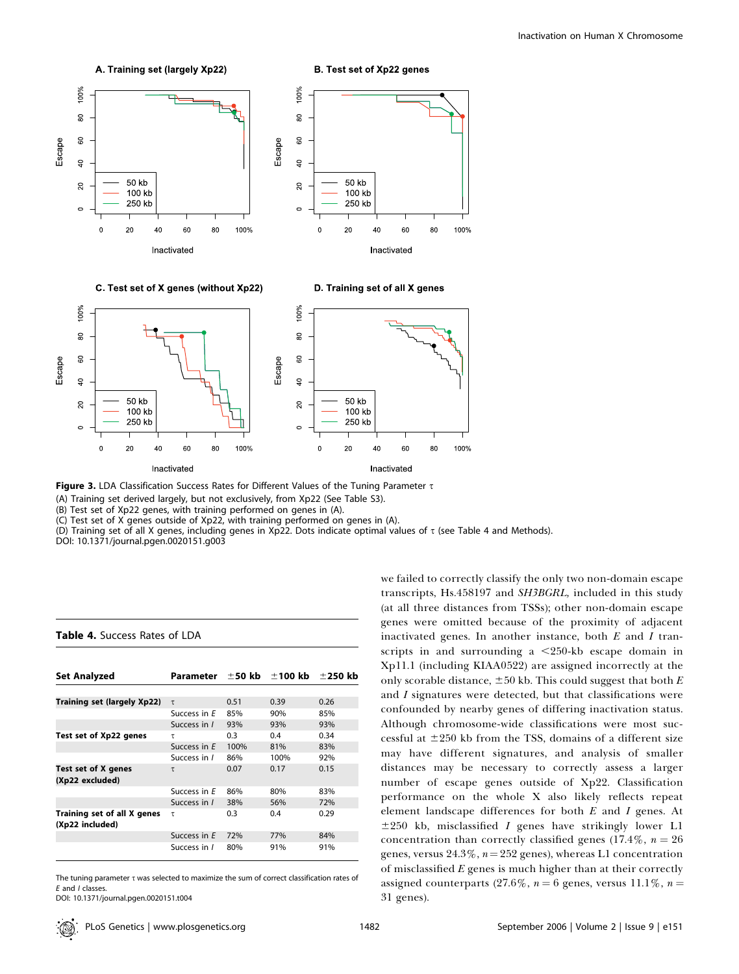

Figure 3. LDA Classification Success Rates for Different Values of the Tuning Parameter T

(A) Training set derived largely, but not exclusively, from Xp22 (See Table S3).

(B) Test set of Xp22 genes, with training performed on genes in (A).

(C) Test set of X genes outside of Xp22, with training performed on genes in (A).

(D) Training set of all X genes, including genes in Xp22. Dots indicate optimal values of  $\tau$  (see Table 4 and Methods).

DOI: 10.1371/journal.pgen.0020151.g003

Table 4. Success Rates of LDA

| <b>Set Analyzed</b>                            | Parameter    | ±50 kb | $\pm 100~\mathrm{kb}$ | $\pm$ 250 kb |
|------------------------------------------------|--------------|--------|-----------------------|--------------|
|                                                |              |        |                       |              |
| Training set (largely Xp22)                    | $\tau$       | 0.51   | 0.39                  | 0.26         |
|                                                | Success in E | 85%    | 90%                   | 85%          |
|                                                | Success in I | 93%    | 93%                   | 93%          |
| Test set of Xp22 genes                         | τ            | 0.3    | 0.4                   | 0.34         |
|                                                | Success in E | 100%   | 81%                   | 83%          |
|                                                | Success in / | 86%    | 100%                  | 92%          |
| Test set of X genes<br>(Xp22 excluded)         | τ            | 0.07   | 0.17                  | 0.15         |
|                                                | Success in E | 86%    | 80%                   | 83%          |
|                                                | Success in I | 38%    | 56%                   | 72%          |
| Training set of all X genes<br>(Xp22 included) | τ            | 0.3    | 0.4                   | 0.29         |
|                                                | Success in E | 72%    | 77%                   | 84%          |
|                                                | Success in I | 80%    | 91%                   | 91%          |

The tuning parameter  $\tau$  was selected to maximize the sum of correct classification rates of E and I classes.

DOI: 10.1371/journal.pgen.0020151.t004

we failed to correctly classify the only two non-domain escape transcripts, Hs.458197 and SH3BGRL, included in this study (at all three distances from TSSs); other non-domain escape genes were omitted because of the proximity of adjacent inactivated genes. In another instance, both  $E$  and  $I$  transcripts in and surrounding a  $\leq$ 250-kb escape domain in Xp11.1 (including KIAA0522) are assigned incorrectly at the only scorable distance,  $\pm 50$  kb. This could suggest that both E and I signatures were detected, but that classifications were confounded by nearby genes of differing inactivation status. Although chromosome-wide classifications were most successful at  $\pm 250$  kb from the TSS, domains of a different size may have different signatures, and analysis of smaller distances may be necessary to correctly assess a larger number of escape genes outside of Xp22. Classification performance on the whole X also likely reflects repeat element landscape differences for both E and I genes. At  $\pm 250$  kb, misclassified *I* genes have strikingly lower L1 concentration than correctly classified genes (17.4%,  $n = 26$ ) genes, versus  $24.3\%$ ,  $n=252$  genes), whereas L1 concentration of misclassified  $E$  genes is much higher than at their correctly assigned counterparts (27.6%,  $n = 6$  genes, versus 11.1%,  $n =$ 

31 genes).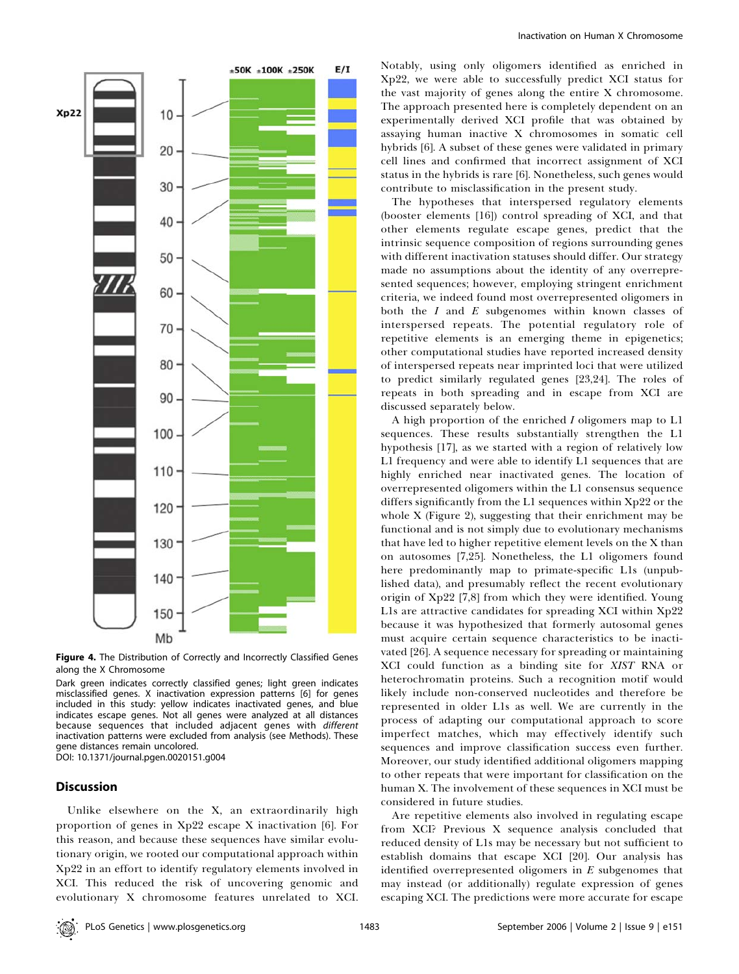

Figure 4. The Distribution of Correctly and Incorrectly Classified Genes along the X Chromosome

Dark green indicates correctly classified genes; light green indicates misclassified genes. X inactivation expression patterns [6] for genes included in this study: yellow indicates inactivated genes, and blue indicates escape genes. Not all genes were analyzed at all distances because sequences that included adjacent genes with different inactivation patterns were excluded from analysis (see Methods). These gene distances remain uncolored.

DOI: 10.1371/journal.pgen.0020151.g004

# **Discussion**

Unlike elsewhere on the X, an extraordinarily high proportion of genes in Xp22 escape X inactivation [6]. For this reason, and because these sequences have similar evolutionary origin, we rooted our computational approach within Xp22 in an effort to identify regulatory elements involved in XCI. This reduced the risk of uncovering genomic and evolutionary X chromosome features unrelated to XCI.

Notably, using only oligomers identified as enriched in Xp22, we were able to successfully predict XCI status for the vast majority of genes along the entire X chromosome. The approach presented here is completely dependent on an experimentally derived XCI profile that was obtained by assaying human inactive X chromosomes in somatic cell hybrids [6]. A subset of these genes were validated in primary cell lines and confirmed that incorrect assignment of XCI status in the hybrids is rare [6]. Nonetheless, such genes would contribute to misclassification in the present study.

The hypotheses that interspersed regulatory elements (booster elements [16]) control spreading of XCI, and that other elements regulate escape genes, predict that the intrinsic sequence composition of regions surrounding genes with different inactivation statuses should differ. Our strategy made no assumptions about the identity of any overrepresented sequences; however, employing stringent enrichment criteria, we indeed found most overrepresented oligomers in both the  $I$  and  $E$  subgenomes within known classes of interspersed repeats. The potential regulatory role of repetitive elements is an emerging theme in epigenetics; other computational studies have reported increased density of interspersed repeats near imprinted loci that were utilized to predict similarly regulated genes [23,24]. The roles of repeats in both spreading and in escape from XCI are discussed separately below.

A high proportion of the enriched I oligomers map to L1 sequences. These results substantially strengthen the L1 hypothesis [17], as we started with a region of relatively low L1 frequency and were able to identify L1 sequences that are highly enriched near inactivated genes. The location of overrepresented oligomers within the L1 consensus sequence differs significantly from the L1 sequences within Xp22 or the whole X (Figure 2), suggesting that their enrichment may be functional and is not simply due to evolutionary mechanisms that have led to higher repetitive element levels on the X than on autosomes [7,25]. Nonetheless, the L1 oligomers found here predominantly map to primate-specific L1s (unpublished data), and presumably reflect the recent evolutionary origin of Xp22 [7,8] from which they were identified. Young L1s are attractive candidates for spreading XCI within Xp22 because it was hypothesized that formerly autosomal genes must acquire certain sequence characteristics to be inactivated [26]. A sequence necessary for spreading or maintaining XCI could function as a binding site for XIST RNA or heterochromatin proteins. Such a recognition motif would likely include non-conserved nucleotides and therefore be represented in older L1s as well. We are currently in the process of adapting our computational approach to score imperfect matches, which may effectively identify such sequences and improve classification success even further. Moreover, our study identified additional oligomers mapping to other repeats that were important for classification on the human X. The involvement of these sequences in XCI must be considered in future studies.

Are repetitive elements also involved in regulating escape from XCI? Previous X sequence analysis concluded that reduced density of L1s may be necessary but not sufficient to establish domains that escape XCI [20]. Our analysis has identified overrepresented oligomers in  $E$  subgenomes that may instead (or additionally) regulate expression of genes escaping XCI. The predictions were more accurate for escape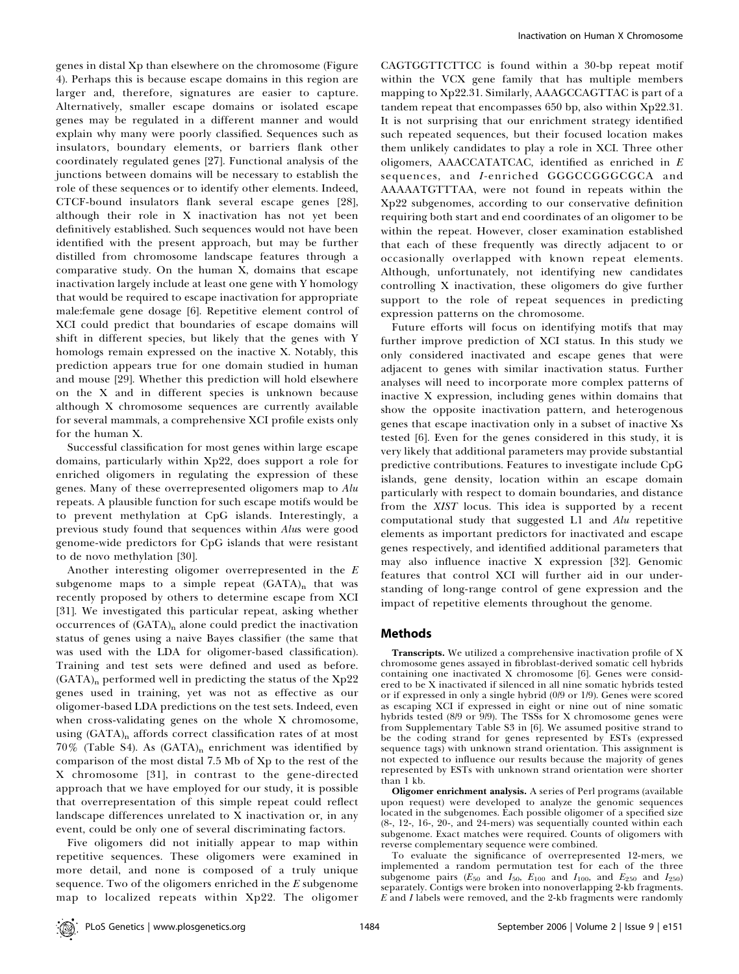genes in distal Xp than elsewhere on the chromosome (Figure 4). Perhaps this is because escape domains in this region are larger and, therefore, signatures are easier to capture. Alternatively, smaller escape domains or isolated escape genes may be regulated in a different manner and would explain why many were poorly classified. Sequences such as insulators, boundary elements, or barriers flank other coordinately regulated genes [27]. Functional analysis of the junctions between domains will be necessary to establish the role of these sequences or to identify other elements. Indeed, CTCF-bound insulators flank several escape genes [28], although their role in X inactivation has not yet been definitively established. Such sequences would not have been identified with the present approach, but may be further distilled from chromosome landscape features through a comparative study. On the human X, domains that escape inactivation largely include at least one gene with Y homology that would be required to escape inactivation for appropriate male:female gene dosage [6]. Repetitive element control of XCI could predict that boundaries of escape domains will shift in different species, but likely that the genes with Y homologs remain expressed on the inactive X. Notably, this prediction appears true for one domain studied in human and mouse [29]. Whether this prediction will hold elsewhere on the X and in different species is unknown because although X chromosome sequences are currently available for several mammals, a comprehensive XCI profile exists only for the human X.

Successful classification for most genes within large escape domains, particularly within Xp22, does support a role for enriched oligomers in regulating the expression of these genes. Many of these overrepresented oligomers map to Alu repeats. A plausible function for such escape motifs would be to prevent methylation at CpG islands. Interestingly, a previous study found that sequences within Alus were good genome-wide predictors for CpG islands that were resistant to de novo methylation [30].

Another interesting oligomer overrepresented in the E subgenome maps to a simple repeat  $(GATA)$ <sub>n</sub> that was recently proposed by others to determine escape from XCI [31]. We investigated this particular repeat, asking whether occurrences of  $(GATA)_n$  alone could predict the inactivation status of genes using a naive Bayes classifier (the same that was used with the LDA for oligomer-based classification). Training and test sets were defined and used as before. (GATA)n performed well in predicting the status of the Xp22 genes used in training, yet was not as effective as our oligomer-based LDA predictions on the test sets. Indeed, even when cross-validating genes on the whole X chromosome, using (GATA)<sub>n</sub> affords correct classification rates of at most  $70\%$  (Table S4). As (GATA)<sub>n</sub> enrichment was identified by comparison of the most distal 7.5 Mb of Xp to the rest of the X chromosome [31], in contrast to the gene-directed approach that we have employed for our study, it is possible that overrepresentation of this simple repeat could reflect landscape differences unrelated to X inactivation or, in any event, could be only one of several discriminating factors.

Five oligomers did not initially appear to map within repetitive sequences. These oligomers were examined in more detail, and none is composed of a truly unique sequence. Two of the oligomers enriched in the  $E$  subgenome map to localized repeats within Xp22. The oligomer

CAGTGGTTCTTCC is found within a 30-bp repeat motif within the VCX gene family that has multiple members mapping to Xp22.31. Similarly, AAAGCCAGTTAC is part of a tandem repeat that encompasses 650 bp, also within Xp22.31. It is not surprising that our enrichment strategy identified such repeated sequences, but their focused location makes them unlikely candidates to play a role in XCI. Three other oligomers, AAACCATATCAC, identified as enriched in E sequences, and I-enriched GGGCCGGGCGCA and AAAAATGTTTAA, were not found in repeats within the Xp22 subgenomes, according to our conservative definition requiring both start and end coordinates of an oligomer to be within the repeat. However, closer examination established that each of these frequently was directly adjacent to or occasionally overlapped with known repeat elements. Although, unfortunately, not identifying new candidates controlling X inactivation, these oligomers do give further support to the role of repeat sequences in predicting expression patterns on the chromosome.

Future efforts will focus on identifying motifs that may further improve prediction of XCI status. In this study we only considered inactivated and escape genes that were adjacent to genes with similar inactivation status. Further analyses will need to incorporate more complex patterns of inactive X expression, including genes within domains that show the opposite inactivation pattern, and heterogenous genes that escape inactivation only in a subset of inactive Xs tested [6]. Even for the genes considered in this study, it is very likely that additional parameters may provide substantial predictive contributions. Features to investigate include CpG islands, gene density, location within an escape domain particularly with respect to domain boundaries, and distance from the XIST locus. This idea is supported by a recent computational study that suggested L1 and Alu repetitive elements as important predictors for inactivated and escape genes respectively, and identified additional parameters that may also influence inactive X expression [32]. Genomic features that control XCI will further aid in our understanding of long-range control of gene expression and the impact of repetitive elements throughout the genome.

### Methods

Transcripts. We utilized a comprehensive inactivation profile of X chromosome genes assayed in fibroblast-derived somatic cell hybrids containing one inactivated X chromosome [6]. Genes were considered to be X inactivated if silenced in all nine somatic hybrids tested or if expressed in only a single hybrid (0/9 or 1/9). Genes were scored as escaping XCI if expressed in eight or nine out of nine somatic hybrids tested (8/9 or 9/9). The TSSs for X chromosome genes were from Supplementary Table S3 in [6]. We assumed positive strand to be the coding strand for genes represented by ESTs (expressed sequence tags) with unknown strand orientation. This assignment is not expected to influence our results because the majority of genes represented by ESTs with unknown strand orientation were shorter than 1 kb.

Oligomer enrichment analysis. A series of Perl programs (available upon request) were developed to analyze the genomic sequences located in the subgenomes. Each possible oligomer of a specified size (8-, 12-, 16-, 20-, and 24-mers) was sequentially counted within each subgenome. Exact matches were required. Counts of oligomers with reverse complementary sequence were combined.

To evaluate the significance of overrepresented 12-mers, we implemented a random permutation test for each of the three subgenome pairs ( $E_{50}$  and  $I_{50}$ ,  $E_{100}$  and  $I_{100}$ , and  $E_{250}$  and  $I_{250}$ ) separately. Contigs were broken into nonoverlapping 2-kb fragments.  $E$  and  $I$  labels were removed, and the 2-kb fragments were randomly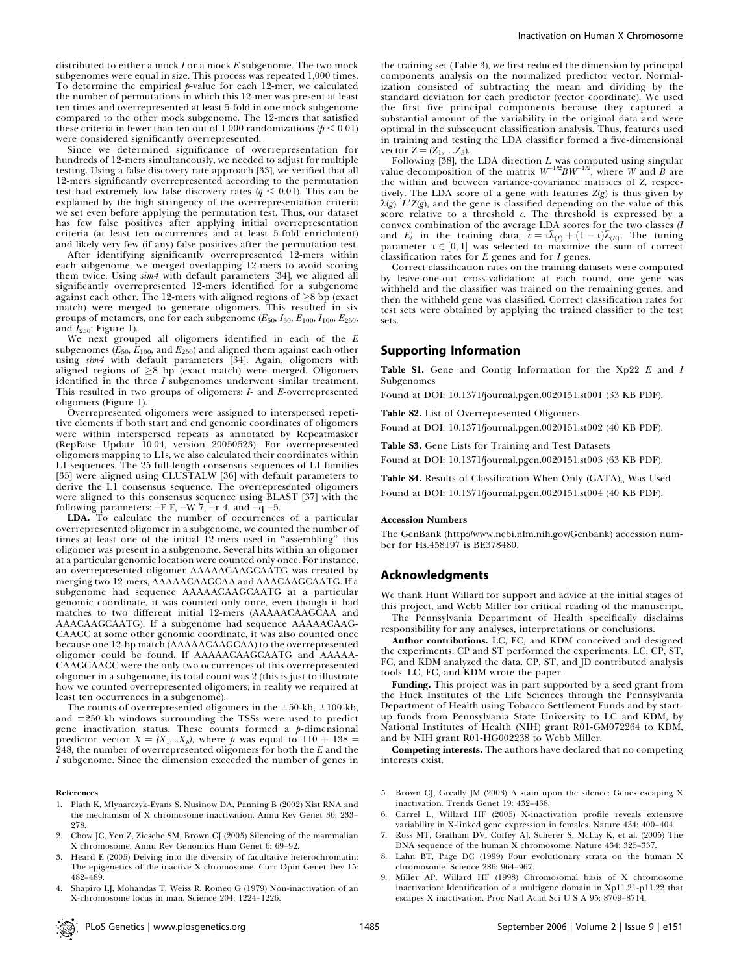distributed to either a mock  $I$  or a mock  $E$  subgenome. The two mock subgenomes were equal in size. This process was repeated 1,000 times. To determine the empirical  $p$ -value for each 12-mer, we calculated the number of permutations in which this 12-mer was present at least ten times and overrepresented at least 5-fold in one mock subgenome compared to the other mock subgenome. The 12-mers that satisfied these criteria in fewer than ten out of 1,000 randomizations ( $p < 0.01$ ) were considered significantly overrepresented.

Since we determined significance of overrepresentation for hundreds of 12-mers simultaneously, we needed to adjust for multiple testing. Using a false discovery rate approach [33], we verified that all 12-mers significantly overrepresented according to the permutation test had extremely low false discovery rates ( $q \leq 0.01$ ). This can be explained by the high stringency of the overrepresentation criteria we set even before applying the permutation test. Thus, our dataset has few false positives after applying initial overrepresentation criteria (at least ten occurrences and at least 5-fold enrichment) and likely very few (if any) false positives after the permutation test.

After identifying significantly overrepresented 12-mers within each subgenome, we merged overlapping 12-mers to avoid scoring them twice. Using sim4 with default parameters [34], we aligned all significantly overrepresented 12-mers identified for a subgenome against each other. The 12-mers with aligned regions of  $\geq$ 8 bp (exact match) were merged to generate oligomers. This resulted in six groups of metamers, one for each subgenome ( $E_{50}$ ,  $I_{50}$ ,  $E_{100}$ ,  $I_{100}$ ,  $E_{250}$ , and  $I_{250}$ ; Figure 1).

We next grouped all oligomers identified in each of the  $E$ subgenomes  $(\bar{E}_{50},\bar{E}_{100},\mathrm{and}\,E_{250})$  and aligned them against each other using sim4 with default parameters [34]. Again, oligomers with aligned regions of  $\geq$ 8 bp (exact match) were merged. Oligomers identified in the three I subgenomes underwent similar treatment. This resulted in two groups of oligomers: I- and E-overrepresented oligomers (Figure 1).

Overrepresented oligomers were assigned to interspersed repetitive elements if both start and end genomic coordinates of oligomers were within interspersed repeats as annotated by Repeatmasker (RepBase Update 10.04, version 20050523). For overrepresented oligomers mapping to L1s, we also calculated their coordinates within L1 sequences. The 25 full-length consensus sequences of L1 families [35] were aligned using CLUSTALW [36] with default parameters to derive the L1 consensus sequence. The overrepresented oligomers were aligned to this consensus sequence using BLAST [37] with the following parameters:  $-F F$ ,  $-W 7$ ,  $-r 4$ , and  $-q -5$ .

LDA. To calculate the number of occurrences of a particular overrepresented oligomer in a subgenome, we counted the number of times at least one of the initial 12-mers used in ''assembling'' this oligomer was present in a subgenome. Several hits within an oligomer at a particular genomic location were counted only once. For instance, an overrepresented oligomer AAAAACAAGCAATG was created by merging two 12-mers, AAAAACAAGCAA and AAACAAGCAATG. If a subgenome had sequence AAAAACAAGCAATG at a particular genomic coordinate, it was counted only once, even though it had matches to two different initial 12-mers (AAAAACAAGCAA and AAACAAGCAATG). If a subgenome had sequence AAAAACAAG-CAACC at some other genomic coordinate, it was also counted once because one 12-bp match (AAAAACAAGCAA) to the overrepresented oligomer could be found. If AAAAACAAGCAATG and AAAAA-CAAGCAACC were the only two occurrences of this overrepresented oligomer in a subgenome, its total count was 2 (this is just to illustrate how we counted overrepresented oligomers; in reality we required at least ten occurrences in a subgenome).

The counts of overrepresented oligomers in the  $\pm 50$ -kb,  $\pm 100$ -kb, and  $\pm 250$ -kb windows surrounding the TSSs were used to predict gene inactivation status. These counts formed a  $p$ -dimensional predictor vector  $X = (X_1,...X_p)$ , where p was equal to  $110 + 138 =$ 248, the number of overrepresented oligomers for both the  $E$  and the I subgenome. Since the dimension exceeded the number of genes in

#### References

- 1. Plath K, Mlynarczyk-Evans S, Nusinow DA, Panning B (2002) Xist RNA and the mechanism of X chromosome inactivation. Annu Rev Genet 36: 233– 278.
- 2. Chow JC, Yen Z, Ziesche SM, Brown CJ (2005) Silencing of the mammalian X chromosome. Annu Rev Genomics Hum Genet 6: 69–92.
- 3. Heard E (2005) Delving into the diversity of facultative heterochromatin: The epigenetics of the inactive X chromosome. Curr Opin Genet Dev 15: 482–489.
- 4. Shapiro LJ, Mohandas T, Weiss R, Romeo G (1979) Non-inactivation of an X-chromosome locus in man. Science 204: 1224–1226.

the training set (Table 3), we first reduced the dimension by principal components analysis on the normalized predictor vector. Normalization consisted of subtracting the mean and dividing by the standard deviation for each predictor (vector coordinate). We used the first five principal components because they captured a substantial amount of the variability in the original data and were optimal in the subsequent classification analysis. Thus, features used in training and testing the LDA classifier formed a five-dimensional vector  $Z = (Z_1, \ldots, Z_5)$ .

Following [38], the LDA direction *L* was computed using singular value decomposition of the matrix  $W^{-1/2}BW^{-1/2}$ , where *W* and *B* are the within and between variance-covariance matrices of Z, respectively. The LDA score of a gene with features  $Z(g)$  is thus given by  $\lambda(g)=L'Z(g)$ , and the gene is classified depending on the value of this score relative to a threshold  $c$ . The threshold is expressed by a convex combination of the average LDA scores for the two classes (I and E) in the training data,  $c = \tau \bar{\lambda}_{(I)} + (1 - \tau) \bar{\lambda}_{(E)}$ . The tuning parameter  $\tau \in [0, 1]$  was selected to maximize the sum of correct classification rates for  $E$  genes and for  $I$  genes.

Correct classification rates on the training datasets were computed by leave-one-out cross-validation: at each round, one gene was withheld and the classifier was trained on the remaining genes, and then the withheld gene was classified. Correct classification rates for test sets were obtained by applying the trained classifier to the test sets.

#### Supporting Information

Table S1. Gene and Contig Information for the Xp22 E and I Subgenomes

Found at DOI: 10.1371/journal.pgen.0020151.st001 (33 KB PDF).

Table S2. List of Overrepresented Oligomers

Found at DOI: 10.1371/journal.pgen.0020151.st002 (40 KB PDF).

Table S3. Gene Lists for Training and Test Datasets

Found at DOI: 10.1371/journal.pgen.0020151.st003 (63 KB PDF).

Table S4. Results of Classification When Only (GATA)<sub>n</sub> Was Used Found at DOI: 10.1371/journal.pgen.0020151.st004 (40 KB PDF).

#### Accession Numbers

The GenBank (http://www.ncbi.nlm.nih.gov/Genbank) accession number for Hs.458197 is BE378480.

#### Acknowledgments

We thank Hunt Willard for support and advice at the initial stages of this project, and Webb Miller for critical reading of the manuscript.

The Pennsylvania Department of Health specifically disclaims responsibility for any analyses, interpretations or conclusions.

Author contributions. LC, FC, and KDM conceived and designed the experiments. CP and ST performed the experiments. LC, CP, ST, FC, and KDM analyzed the data. CP, ST, and JD contributed analysis tools. LC, FC, and KDM wrote the paper.

Funding. This project was in part supported by a seed grant from the Huck Institutes of the Life Sciences through the Pennsylvania Department of Health using Tobacco Settlement Funds and by startup funds from Pennsylvania State University to LC and KDM, by National Institutes of Health (NIH) grant R01-GM072264 to KDM, and by NIH grant R01-HG002238 to Webb Miller.

Competing interests. The authors have declared that no competing interests exist.

- 5. Brown CJ, Greally JM (2003) A stain upon the silence: Genes escaping X inactivation. Trends Genet 19: 432–438.
- 6. Carrel L, Willard HF (2005) X-inactivation profile reveals extensive variability in X-linked gene expression in females. Nature 434: 400–404.
- 7. Ross MT, Grafham DV, Coffey AJ, Scherer S, McLay K, et al. (2005) The DNA sequence of the human X chromosome. Nature 434: 325–337.
- 8. Lahn BT, Page DC (1999) Four evolutionary strata on the human X chromosome. Science 286: 964–967.
- 9. Miller AP, Willard HF (1998) Chromosomal basis of X chromosome inactivation: Identification of a multigene domain in Xp11.21-p11.22 that escapes X inactivation. Proc Natl Acad Sci U S A 95: 8709–8714.